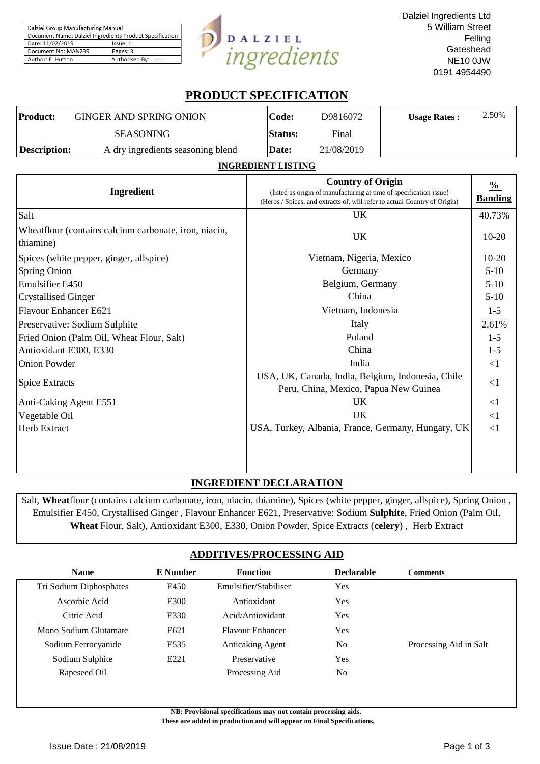| Dalziel Group Manufacturing Manual                       |                |  |  |  |
|----------------------------------------------------------|----------------|--|--|--|
| Document Name: Dalziel Ingredients Product Specification |                |  |  |  |
| Date: 11/02/2019<br>Issue: 11                            |                |  |  |  |
| Document No: MAN239                                      | Pages: 3       |  |  |  |
| Author: F. Hutton                                        | Authorised By: |  |  |  |



# **PRODUCT SPECIFICATION**

| <b>Product:</b> | GINGER AND SPRING ONION           | Code:          | D9816072   | <b>Usage Rates:</b> | 2.50% |
|-----------------|-----------------------------------|----------------|------------|---------------------|-------|
|                 | <b>SEASONING</b>                  | <b>Status:</b> | Final      |                     |       |
| Description:    | A dry ingredients seasoning blend | Date:          | 21/08/2019 |                     |       |

#### **INGREDIENT LISTING**

| <b>Ingredient</b>                                                  | <b>Country of Origin</b><br>(listed as origin of manufacturing at time of specification issue)<br>(Herbs / Spices, and extracts of, will refer to actual Country of Origin) | $\frac{0}{0}$<br><b>Banding</b> |
|--------------------------------------------------------------------|-----------------------------------------------------------------------------------------------------------------------------------------------------------------------------|---------------------------------|
| Salt                                                               | UK.                                                                                                                                                                         | 40.73%                          |
| Wheatflour (contains calcium carbonate, iron, niacin,<br>thiamine) | <b>UK</b>                                                                                                                                                                   | $10-20$                         |
| Spices (white pepper, ginger, allspice)                            | Vietnam, Nigeria, Mexico                                                                                                                                                    | $10-20$                         |
| <b>Spring Onion</b>                                                | Germany                                                                                                                                                                     | $5-10$                          |
| <b>Emulsifier E450</b>                                             | Belgium, Germany                                                                                                                                                            | $5-10$                          |
| <b>Crystallised Ginger</b>                                         | China                                                                                                                                                                       | $5-10$                          |
| Flavour Enhancer E621                                              | Vietnam, Indonesia                                                                                                                                                          | $1 - 5$                         |
| Preservative: Sodium Sulphite                                      | Italy                                                                                                                                                                       | 2.61%                           |
| Fried Onion (Palm Oil, Wheat Flour, Salt)                          | Poland                                                                                                                                                                      | $1-5$                           |
| Antioxidant E300, E330                                             | China                                                                                                                                                                       | $1-5$                           |
| <b>Onion Powder</b>                                                | India                                                                                                                                                                       | $\leq$ 1                        |
| <b>Spice Extracts</b>                                              | USA, UK, Canada, India, Belgium, Indonesia, Chile<br>Peru, China, Mexico, Papua New Guinea                                                                                  | $\leq$ 1                        |
| Anti-Caking Agent E551                                             | <b>UK</b>                                                                                                                                                                   | <1                              |
| Vegetable Oil                                                      | UK                                                                                                                                                                          | <1                              |
| <b>Herb Extract</b>                                                | USA, Turkey, Albania, France, Germany, Hungary, UK                                                                                                                          | <1                              |
|                                                                    |                                                                                                                                                                             |                                 |

## **INGREDIENT DECLARATION**

Salt, **Wheat**flour (contains calcium carbonate, iron, niacin, thiamine), Spices (white pepper, ginger, allspice), Spring Onion , Emulsifier E450, Crystallised Ginger , Flavour Enhancer E621, Preservative: Sodium **Sulphite**, Fried Onion (Palm Oil, **Wheat** Flour, Salt), Antioxidant E300, E330, Onion Powder, Spice Extracts (**celery**) , Herb Extract

## **ADDITIVES/PROCESSING AID**

| <b>Name</b>             | E Number         | <b>Function</b>         | <b>Declarable</b> | <b>Comments</b>        |
|-------------------------|------------------|-------------------------|-------------------|------------------------|
| Tri Sodium Diphosphates | E450             | Emulsifier/Stabiliser   | Yes               |                        |
| Ascorbic Acid           | E300             | Antioxidant             | Yes               |                        |
| Citric Acid             | E330             | Acid/Antioxidant        | Yes               |                        |
| Mono Sodium Glutamate   | E621             | Flavour Enhancer        | Yes               |                        |
| Sodium Ferrocyanide     | E535             | <b>Anticaking Agent</b> | No                | Processing Aid in Salt |
| Sodium Sulphite         | E <sub>221</sub> | Preservative            | Yes               |                        |
| Rapeseed Oil            |                  | Processing Aid          | No                |                        |

**NB: Provisional specifications may not contain processing aids.** 

 **These are added in production and will appear on Final Specifications.**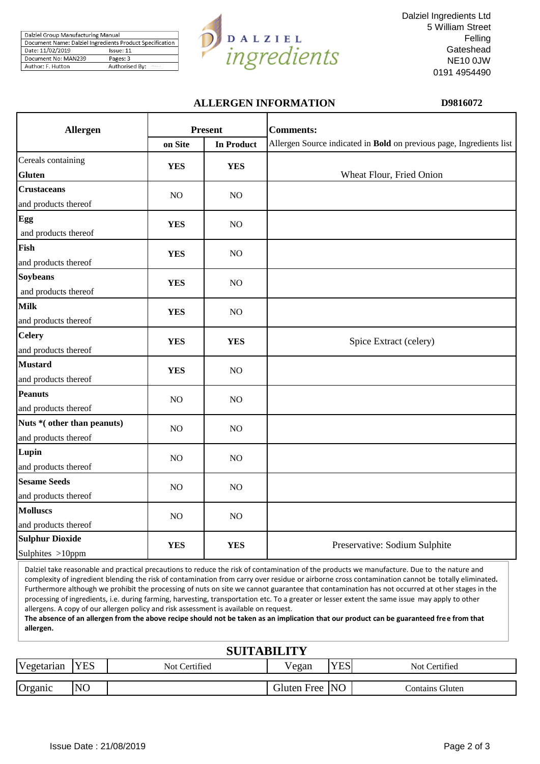| Dalziel Group Manufacturing Manual |                                                          |  |  |
|------------------------------------|----------------------------------------------------------|--|--|
|                                    | Document Name: Dalziel Ingredients Product Specification |  |  |
| Date: 11/02/2019                   | Issue: 11                                                |  |  |
| Document No: MAN239                | Pages: 3                                                 |  |  |
| Author: F. Hutton                  | Authorised By:                                           |  |  |



Dalziel Ingredients Ltd 5 William Street Felling **Gateshead** NE10 0JW 0191 4954490

## **ALLERGEN INFORMATION D9816072**

| <b>Allergen</b>                                     |                | <b>Present</b>    | <b>Comments:</b>                                                     |
|-----------------------------------------------------|----------------|-------------------|----------------------------------------------------------------------|
|                                                     | on Site        | <b>In Product</b> | Allergen Source indicated in Bold on previous page, Ingredients list |
| Cereals containing<br><b>Gluten</b>                 | <b>YES</b>     | <b>YES</b>        | Wheat Flour, Fried Onion                                             |
| <b>Crustaceans</b><br>and products thereof          | NO             | NO                |                                                                      |
| Egg<br>and products thereof                         | <b>YES</b>     | NO                |                                                                      |
| Fish<br>and products thereof                        | <b>YES</b>     | NO                |                                                                      |
| <b>Soybeans</b><br>and products thereof             | <b>YES</b>     | NO                |                                                                      |
| <b>Milk</b><br>and products thereof                 | <b>YES</b>     | NO                |                                                                      |
| <b>Celery</b><br>and products thereof               | <b>YES</b>     | <b>YES</b>        | Spice Extract (celery)                                               |
| <b>Mustard</b><br>and products thereof              | <b>YES</b>     | NO                |                                                                      |
| <b>Peanuts</b><br>and products thereof              | N <sub>O</sub> | N <sub>O</sub>    |                                                                      |
| Nuts * (other than peanuts)<br>and products thereof | NO.            | N <sub>O</sub>    |                                                                      |
| Lupin<br>and products thereof                       | NO             | NO                |                                                                      |
| <b>Sesame Seeds</b><br>and products thereof         | NO             | NO                |                                                                      |
| <b>Molluscs</b><br>and products thereof             | NO             | NO                |                                                                      |
| <b>Sulphur Dioxide</b><br>Sulphites >10ppm          | <b>YES</b>     | <b>YES</b>        | Preservative: Sodium Sulphite                                        |

Dalziel take reasonable and practical precautions to reduce the risk of contamination of the products we manufacture. Due to the nature and complexity of ingredient blending the risk of contamination from carry over residue or airborne cross contamination cannot be totally eliminated**.**  Furthermore although we prohibit the processing of nuts on site we cannot guarantee that contamination has not occurred at ot her stages in the processing of ingredients, i.e. during farming, harvesting, transportation etc. To a greater or lesser extent the same issue may apply to other allergens. A copy of our allergen policy and risk assessment is available on request.

**The absence of an allergen from the above recipe should not be taken as an implication that our product can be guaranteed free from that allergen.**

| <b>SUITABILITY</b> |                |               |                |            |                 |  |  |  |
|--------------------|----------------|---------------|----------------|------------|-----------------|--|--|--|
| Vegetarian         | <b>YES</b>     | Not Certified | Vegan          | <b>YES</b> | Not Certified   |  |  |  |
| Organic            | N <sub>O</sub> |               | Gluten Free NO |            | Contains Gluten |  |  |  |